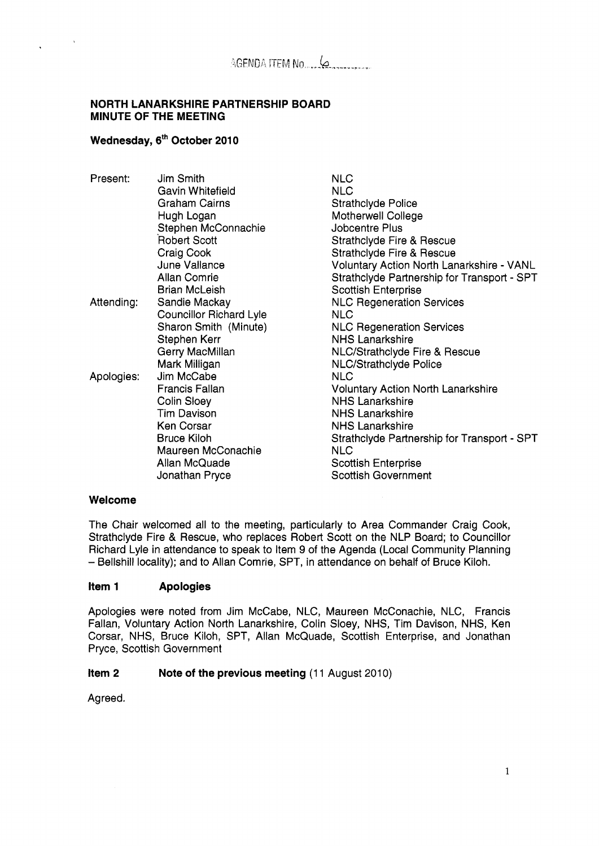#### **NORTH LANARKSHIRE PARTNERSHIP BOARD MINUTE OF THE MEETING**

## Wednesday, 6<sup>th</sup> October 2010

| Present:   | Jim Smith                      | <b>NLC</b>                                       |
|------------|--------------------------------|--------------------------------------------------|
|            | Gavin Whitefield               | <b>NLC</b>                                       |
|            | <b>Graham Cairns</b>           | <b>Strathclyde Police</b>                        |
|            | Hugh Logan                     | <b>Motherwell College</b>                        |
|            | Stephen McConnachie            | <b>Jobcentre Plus</b>                            |
|            | <b>Robert Scott</b>            | <b>Strathclyde Fire &amp; Rescue</b>             |
|            | Craig Cook                     | Strathclyde Fire & Rescue                        |
|            | June Vallance                  | <b>Voluntary Action North Lanarkshire - VANL</b> |
|            | <b>Allan Comrie</b>            | Strathclyde Partnership for Transport - SPT      |
|            | <b>Brian McLeish</b>           | <b>Scottish Enterprise</b>                       |
| Attending: | Sandie Mackay                  | <b>NLC Regeneration Services</b>                 |
|            | <b>Councillor Richard Lyle</b> | NLC.                                             |
|            | Sharon Smith (Minute)          | <b>NLC Regeneration Services</b>                 |
|            | Stephen Kerr                   | <b>NHS Lanarkshire</b>                           |
|            | Gerry MacMillan                | NLC/Strathclyde Fire & Rescue                    |
|            | Mark Milligan                  | <b>NLC/Strathclyde Police</b>                    |
| Apologies: | Jim McCabe                     | <b>NLC</b>                                       |
|            | <b>Francis Fallan</b>          | <b>Voluntary Action North Lanarkshire</b>        |
|            | Colin Sloey                    | <b>NHS Lanarkshire</b>                           |
|            | <b>Tim Davison</b>             | <b>NHS Lanarkshire</b>                           |
|            | <b>Ken Corsar</b>              | <b>NHS Lanarkshire</b>                           |
|            | <b>Bruce Kiloh</b>             | Strathclyde Partnership for Transport - SPT      |
|            | Maureen McConachie             | NLC                                              |
|            | Allan McQuade                  | <b>Scottish Enterprise</b>                       |
|            | Jonathan Pryce                 | <b>Scottish Government</b>                       |
|            |                                |                                                  |

#### **Welcome**

The Chair welcomed all to the meeting, particularly to Area Commander Craig Cook, Strathclyde Fire & Rescue, who replaces Robert Scott on the NLP Board; to Councillor Richard Lyle in attendance to speak to Item 9 of the Agenda (Local Community Planning - Bellshill locality); and to Allan Comrie, SPT, in attendance on behalf of Bruce Kiloh.

#### **Item 1 Apologies**

Apologies were noted from Jim McCabe, NLC, Maureen McConachie, NLC, Francis Fallan, Voluntary Action North Lanarkshire, Colin Sloey, NHS, Tim Davison, NHS, Ken Corsar, NHS, Bruce Kiloh, SPT, Allan McQuade, Scottish Enterprise, and Jonathan Pryce, Scottish Government

#### **Item 2** Note of the previous meeting (11 August 2010)

Agreed.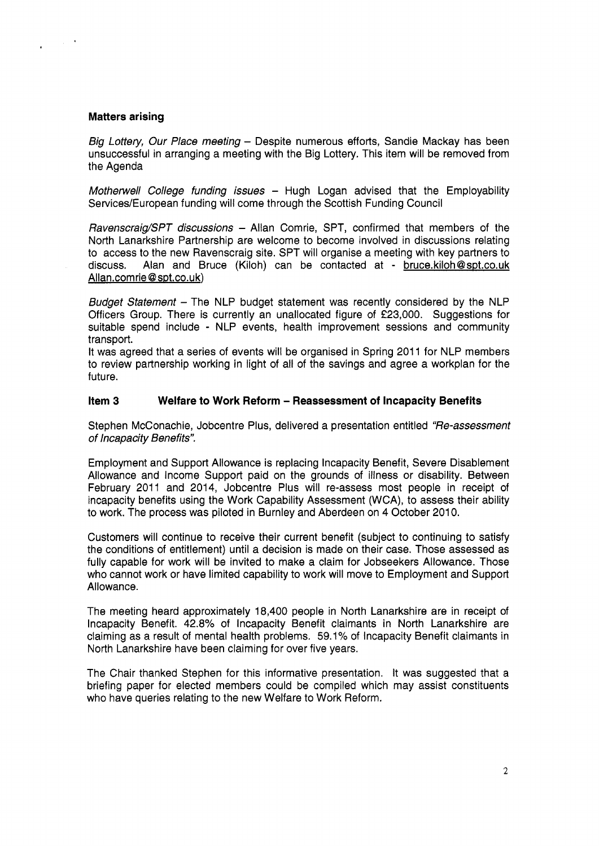#### **Matters arising**

 $\sim 10^{-10}$ 

*Big Lottery, Our Place meeting - Despite numerous efforts, Sandie Mackay has been* unsuccessful in arranging a meeting with the Big Lottery. This item will be removed from the Agenda

*Motherwell College funding issues* - Hugh Logan advised that the Employability Services/European funding will come through the Scottish Funding Council

*RavenscraigSPT discussions* - Allan Comrie, SPT, confirmed that members of the North Lanarkshire Partnership are welcome to become involved in discussions relating to access to the new Ravenscraig site. SPT will organise a meeting with key partners to discuss. Alan and Bruce (Kiloh) can be contacted at - bruce.kiloh@spt.co.uk Allan.comrie @sot.co.uk)

*Budget Statement* - The NLP budget statement was recently considered by the NLP Officers Group. There is currently an unallocated figure of £23,000. Suggestions for suitable spend include - NLP events, health improvement sessions and community transport.

It was agreed that a series of events will be organised in Spring 2011 for NLP members to review partnership working in light of all of the savings and agree a workplan for the future.

#### **Item 3** Welfare to Work Reform - Reassessment of Incapacity Benefits

Stephen McConachie, Jobcentre Plus, delivered a presentation entitled *"Re-assessment of lncapacity Benefits".* 

Employment and Support Allowance is replacing Incapacity Benefit, Severe Disablement Allowance and Income Support paid on the grounds of illness or disability. Between February 2011 and 2014, Jobcentre Plus will re-assess most people in receipt of incapacity benefits using the Work Capability Assessment (WCA), to assess their ability to work. The process was piloted in Burnley and Aberdeen on 4 October 2010.

Customers will continue to receive their current benefit (subject to continuing to satisfy the conditions of entitlement) until a decision is made on their case. Those assessed as fully capable for work will be invited to make a claim for Jobseekers Allowance. Those who cannot work or have limited capability to work will move to Employment and Support Allowance.

The meeting heard approximately 18,400 people in North Lanarkshire are in receipt of Incapacity Benefit. 42.8% of Incapacity Benefit claimants in North Lanarkshire are claiming as a result of mental health problems. 59.1% of Incapacity Benefit claimants in North Lanarkshire have been claiming for over five years.

The Chair thanked Stephen for this informative presentation. It was suggested that a briefing paper for elected members could be compiled which may assist constituents who have queries relating to the new Welfare to Work Reform.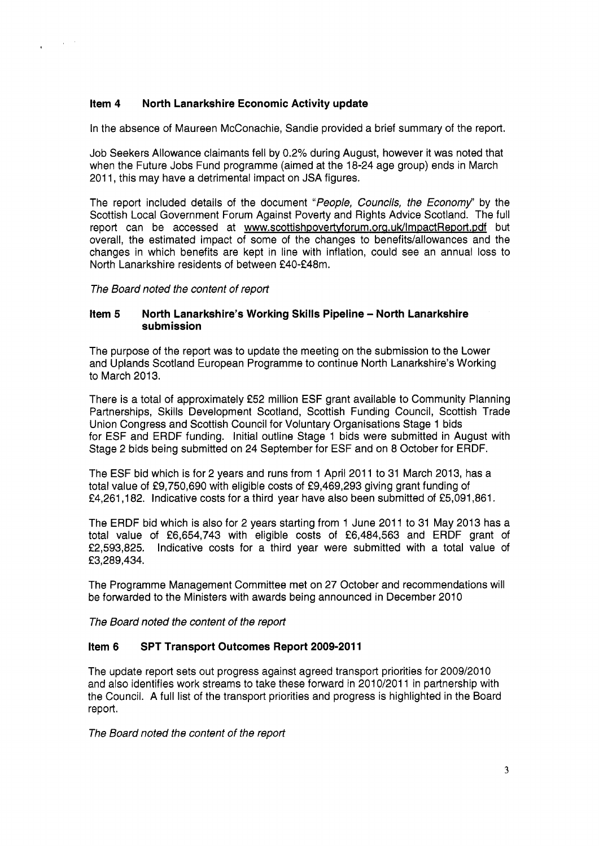## **Item 4 North Lanarkshire Economic Activity update**

In the absence of Maureen McConachie, Sandie provided a brief summary of the report.

Job Seekers Allowance claimants fell by **0.2%** during August, however it was noted that when the Future Jobs Fund programme (aimed at the **18-24** age group) ends in March **201** 1, this may have a detrimental impact on JSA figures.

The report included details of the document *"People, Councils, the Economy"* by the Scottish Local Government Forum Against Poverty and Rights Advice Scotland. The full report can be accessed at www.scottishpovertyforum.org.uk/ImpactReport.pdf but overall, the estimated impact of some of the changes to benefits/allowances and the changes in which benefits are kept in line with inflation, could see an annual loss to North Lanarkshire residents of between £40-£48m.

*The Board noted the content of report* 

 $\mathcal{L}_{\mathbf{A}}$  and  $\mathcal{L}_{\mathbf{A}}$ 

 $\epsilon$ 

#### **Item 5** North Lanarkshire's Working Skills Pipeline - North Lanarkshire **submission**

The purpose of the report was to update the meeting on the submission to the Lower and Uplands Scotland European Programme to continue North Lanarkshire's Working to March **2013.** 

There is a total of approximately **f52** million ESF grant available to Community Planning Partnerships, Skills Development Scotland, Scottish Funding Council, Scottish Trade Union Congress and Scottish Council for Voluntary Organisations Stage **1** bids for ESF and ERDF funding. Initial outline Stage **1** bids were submitted in August with Stage **2** bids being submitted on **24** September for ESF and on **8** October for ERDF.

The ESF bid which is for 2 years and runs from 1 April **201** 1 to **31** March **2013,** has a total value of **f9,750,690** with eligible costs of **f9,469,293** giving grant funding of **f4,261,182.** Indicative costs for a third year have also been submitted of **f5,091,861** 

The ERDF bid which is also for **2** years starting from **1** June **201 1** to **31** May **2013** has a total value of **f6,654,743** with eligible costs of **f6,484,563** and ERDF grant of **f2,593,825.** Indicative costs for a third year were submitted with a total value of **f 3,289,434.** 

The Programme Management Committee met on **27** October and recommendations will be forwarded to the Ministers with awards being announced in December **2010** 

*The Board noted the content of the report* 

## **Item 6 SPT Transport Outcomes Report 2009-2011**

The update report sets out progress against agreed transport priorities for **2009/2010**  and also identifies work streams to take these forward in **2010/2011** in partnership with the Council. A full list of the transport priorities and progress is highlighted in the Board report.

*The Board noted the content of the report*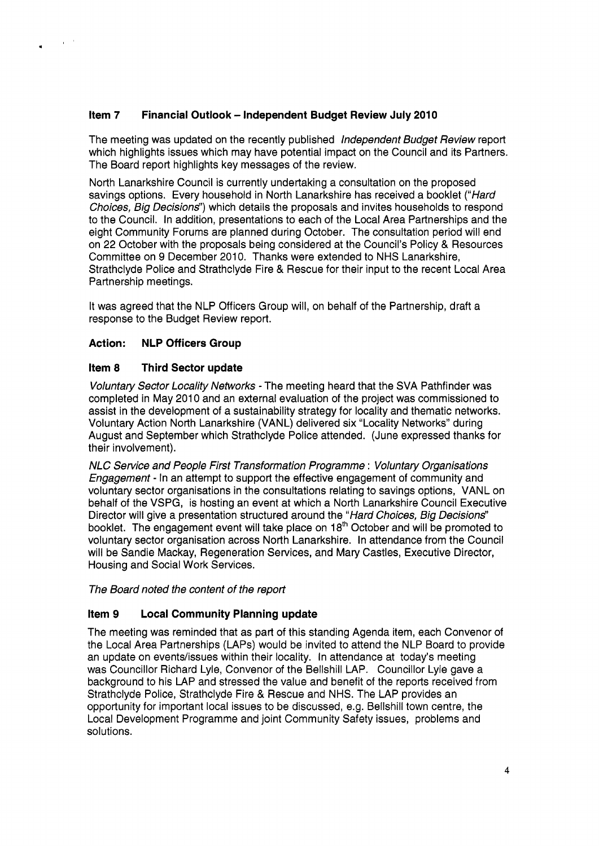## **Item 7** Financial Outlook - Independent Budget Review July 2010

The meeting was updated on the recently published *lndependent Budget Review* report which highlights issues which may have potential impact on the Council and its Partners. The Board report highlights key messages of the review.

North Lanarkshire Council is currently undertaking a consultation on the proposed savings options. Every household in North Lanarkshire has received a booklet *("Hard Choices, Big Decisions")* which details the proposals and invites households to respond to the Council. In addition, presentations to each of the Local Area Partnerships and the eight Community Forums are planned during October. The consultation period will end on 22 October with the proposals being considered at the Council's Policy & Resources Committee on 9 December 2010. Thanks were extended to NHS Lanarkshire, Strathclyde Police and Strathclyde Fire & Rescue for their input to the recent Local Area Partnership meetings.

It was agreed that the NLP Officers Group will, on behalf of the Partnership, draft a response to the Budget Review report.

### **Action: NLP Officers Group**

.

 $\chi$   $\sim$ 

#### **Item 8 Third Sector update**

*Voluntary Sector Locality Networks* - The meeting heard that the SVA Pathfinder was completed in May 2010 and an external evaluation of the project was commissioned to assist in the development of a sustainability strategy for locality and thematic networks. Voluntary Action North Lanarkshire (VANL) delivered six "Locality Networks" during August and September which Strathclyde Police attended. (June expressed thanks for their involvement).

*NLC Service and People First Transformation Programme* : *Voluntary Organisations Engagement* - In an attempt to support the effective engagement of community and voluntary sector organisations in the consultations relating to savings options, VANL on behalf of the VSPG, is hosting an event at which a North Lanarkshire Council Executive Director will give a presentation structured around the *"Hard Choices, Big Decisions"*  booklet. The engagement event will take place on 18<sup>th</sup> October and will be promoted to voluntary sector organisation across North Lanarkshire. In attendance from the Council will be Sandie Mackay, Regeneration Services, and Mary Castles, Executive Director, Housing and Social Work Services.

*The Board noted the content of the report* 

#### **Item 9 Local Community Planning update**

The meeting was reminded that as part of this standing Agenda item, each Convenor of the Local Area Partnerships (LAPS) would be invited to attend the NLP Board to provide an update on events/issues within their locality. In attendance at today's meeting was Councillor Richard Lyle, Convenor of the Bellshill LAP. Councillor Lyle gave a background to his LAP and stressed the value and benefit of the reports received from Strathclyde Police, Strathclyde Fire & Rescue and NHS. The LAP provides an opportunity for important local issues to be discussed, e.g. Bellshill town centre, the Local Development Programme and joint Community Safety issues, problems and solutions.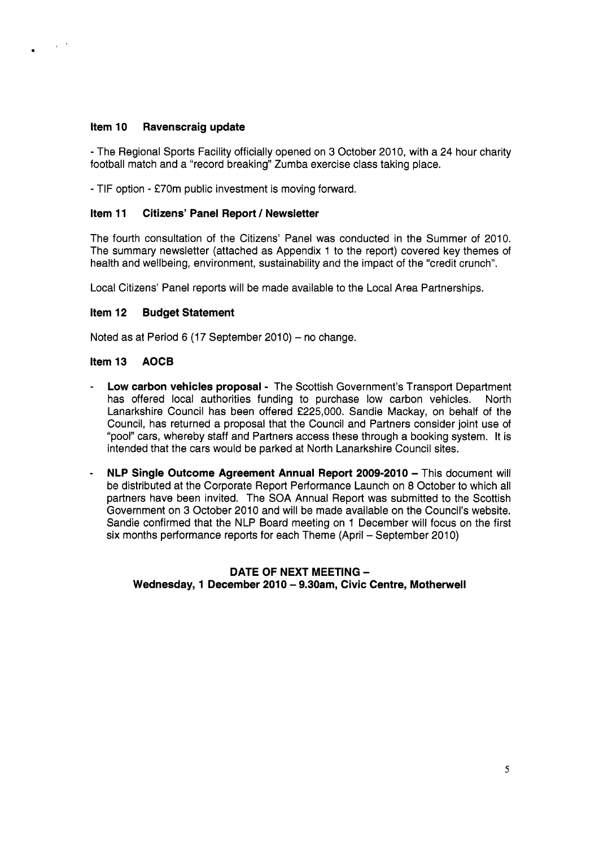## **item 10 Ravenscraig update**

- The Regional Sports Facility officially opened on 3 October 2010, with a 24 hour charity football match and a "record breaking'' Zumba exercise class taking place.

- TIF option - £70m public investment is moving forward.

### **Item 11 Citizens' Panel Report** / **Newsletter**

The fourth consultation of the Citizens' Panel was conducted in the Summer of 2010. The summary newsletter (attached as Appendix 1 to the report) covered key themes of health and wellbeing, environment, sustainability and the impact of the "credit crunch".

Local Citizens' Panel reports will be made available to the Local Area Partnerships.

### **Item 12 Budget Statement**

Noted as at Period 6 (17 September 2010) - no change.

### **item 13 AOCB**

- Low carbon vehicles proposal The Scottish Government's Transport Department has offered local authorities funding to purchase low carbon vehicles. North Lanarkshire Council has been offered £225,000. Sandie Mackay, on behalf of the Council, has returned a proposal that the Council and Partners consider joint use of "pool" cars, whereby staff and Partners access these through a booking system. It is intended that the cars would be parked at North Lanarkshire Council sites.
- **NLP Single Outcome Agreement Annual Report 2009-2010**  This document will be distributed at the Corporate Report Performance Launch on 8 October to which all partners have been invited. The SOA Annual Report was submitted to the Scottish Government on 3 October 2010 and will be made available on the Council's website. Sandie confirmed that the NLP Board meeting on 1 December will focus on the first six months performance reports for each Theme (April - September 2010)

### **DATE OF NEXT MEETING** - Wednesday, 1 December 2010 - 9.30am, Civic Centre, Motherwell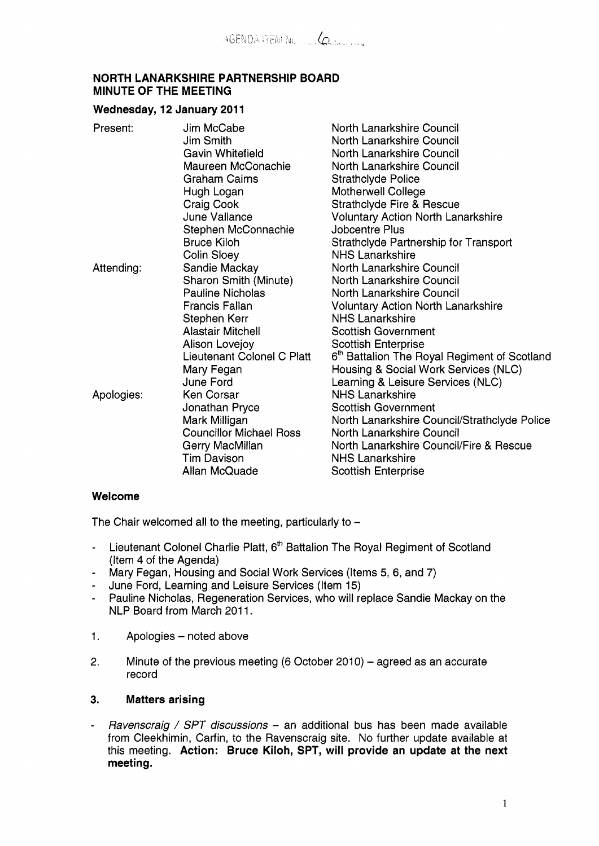### **NORTH LANARKSHIRE PARTNERSHIP BOARD MINUTE OF THE MEETING**

## Wednesday, 12 January 2011

| Present:   | Jim McCabe                     | North Lanarkshire Council                                |
|------------|--------------------------------|----------------------------------------------------------|
|            | <b>Jim Smith</b>               | North Lanarkshire Council                                |
|            | Gavin Whitefield               | North Lanarkshire Council                                |
|            | Maureen McConachie             | North Lanarkshire Council                                |
|            | <b>Graham Cairns</b>           | <b>Strathclyde Police</b>                                |
|            | Hugh Logan                     | Motherwell College                                       |
|            | Craig Cook                     | Strathclyde Fire & Rescue                                |
|            | <b>June Vallance</b>           | <b>Voluntary Action North Lanarkshire</b>                |
|            | Stephen McConnachie            | Jobcentre Plus                                           |
|            | <b>Bruce Kiloh</b>             | Strathclyde Partnership for Transport                    |
|            | Colin Sloey                    | <b>NHS Lanarkshire</b>                                   |
| Attending: | Sandie Mackay                  | North Lanarkshire Council                                |
|            | Sharon Smith (Minute)          | North Lanarkshire Council                                |
|            | <b>Pauline Nicholas</b>        | North Lanarkshire Council                                |
|            | Francis Fallan                 | <b>Voluntary Action North Lanarkshire</b>                |
|            | Stephen Kerr                   | <b>NHS Lanarkshire</b>                                   |
|            | <b>Alastair Mitchell</b>       | <b>Scottish Government</b>                               |
|            | Alison Lovejoy                 | <b>Scottish Enterprise</b>                               |
|            | Lieutenant Colonel C Platt     | 6 <sup>th</sup> Battalion The Royal Regiment of Scotland |
|            | Mary Fegan                     | Housing & Social Work Services (NLC)                     |
|            | June Ford                      | Learning & Leisure Services (NLC)                        |
| Apologies: | <b>Ken Corsar</b>              | <b>NHS Lanarkshire</b>                                   |
|            | Jonathan Pryce                 | <b>Scottish Government</b>                               |
|            | Mark Milligan                  | North Lanarkshire Council/Strathclyde Police             |
|            | <b>Councillor Michael Ross</b> | North Lanarkshire Council                                |
|            | Gerry MacMillan                | North Lanarkshire Council/Fire & Rescue                  |
|            | <b>Tim Davison</b>             | <b>NHS Lanarkshire</b>                                   |
|            | Allan McQuade                  | <b>Scottish Enterprise</b>                               |
|            |                                |                                                          |

#### **Welcome**

The Chair welcomed all to the meeting, particularly to  $-$ 

- Lieutenant Colonel Charlie Platt, 6\* Battalion The Royal Regiment of Scotland (Item 4 *of* the Agenda)
- Mary Fegan, Housing and Social Work Services (Items *5,* 6, and 7)
- June Ford, Learning and Leisure Services (Item 15)
- Pauline Nicholas, Regeneration Services, who will replace Sandie Mackay on the NLP Board from March 2011.
- 1. Apologies noted above
- 2. Minute of the previous meeting  $(6$  October 2010) agreed as an accurate record

## **3. Matters arising**

- *Ravenscraig* / *SPT discussions* - an additional bus has been made available from Cleekhimin, Carfin, to the Ravenscraig site. No further update available at this meeting. **Action: Bruce Kiloh, SPT, will provide an update at the next meeting.**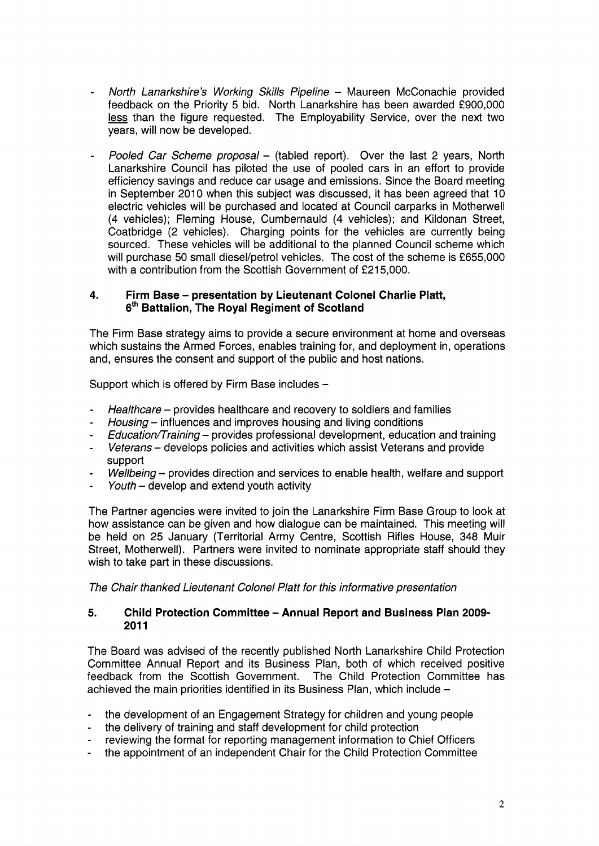- *North Lanarkshire's Working Skills Pipeline*  Maureen McConachie provided feedback on the Priority 5 bid. North Lanarkshire has been awarded £900,000 less than the figure requested. The Employability Service, over the next two North Lanarkshire's Working Skills Pipeline – Maureen McConachie provided<br>feedback on the Priority 5 bid. North Lanarkshire has been awarded £900,000<br>less than the figure requested. The Employability Service, over the next years, will now be developed.
- *Pooled Car Scheme proposal*  (tabled report). Over the last 2 years, North Lanarkshire Council has piloted the use of pooled cars in an effort to provide efficiency savings and reduce car usage and emissions. Since the Board meeting in September 2010 when this subject was discussed, it has been agreed that 10 electric vehicles will be purchased and located at Council carparks in Motherwell (4 vehicles); Fleming House, Cumbernauld (4 vehicles); and Kildonan Street, Coatbridge (2 vehicles). Charging points for the vehicles are currently being sourced. These vehicles will be additional to the planned Council scheme which will purchase 50 small diesel/petrol vehicles. The cost of the scheme is £655,000 with a contribution from the Scottish Government of £215,000.

## **4. Firm Base** - **presentation by Lieutenant Colonel Charlie Platt, 6'h Battalion, The Royal Regiment of Scotland**

The Firm Base strategy aims to provide a secure environment at home and overseas which sustains the Armed Forces, enables training for, and deployment in, operations and, ensures the consent and support of the public and host nations.

Support which is offered by Firm Base includes -

- *Healthcare – provides healthcare and recovery to soldiers and families*
- *Housing* - influences and improves housing and living conditions
- *Education/Training - provides professional development, education and training*
- *Veterans*  develops policies and activities which assist Veterans and provide support
- *Wellbeing* - provides direction and services to enable health, welfare and support
- *Youth* – develop and extend youth activity

The Partner agencies were invited to join the Lanarkshire Firm Base Group to look at how assistance can be given and how dialogue can be maintained. This meeting will be held on 25 January (Territorial Army Centre, Scottish Rifles House, 348 Muir Street, Motherwell). Partners were invited to nominate appropriate staff should they wish to take part in these discussions.

**The Chair thanked Lieutenant Colonel Platt for this informative presentation** 

### **5. Child Protection Committee** - **Annual Report and Business Plan 2009- 201 1**

The Board was advised of the recently published North Lanarkshire Child Protection Committee Annual Report and its Business Plan, both of which received positive feedback from the Scottish Government. The Child Protection Committee has achieved the main priorities identified in its Business Plan, which include -

- the development of an Engagement Strategy for children and young people
- the delivery of training and staff development for child protection
- reviewing the format for reporting management information to Chief Officers
- the appointment of an independent Chair for the Child Protection Committee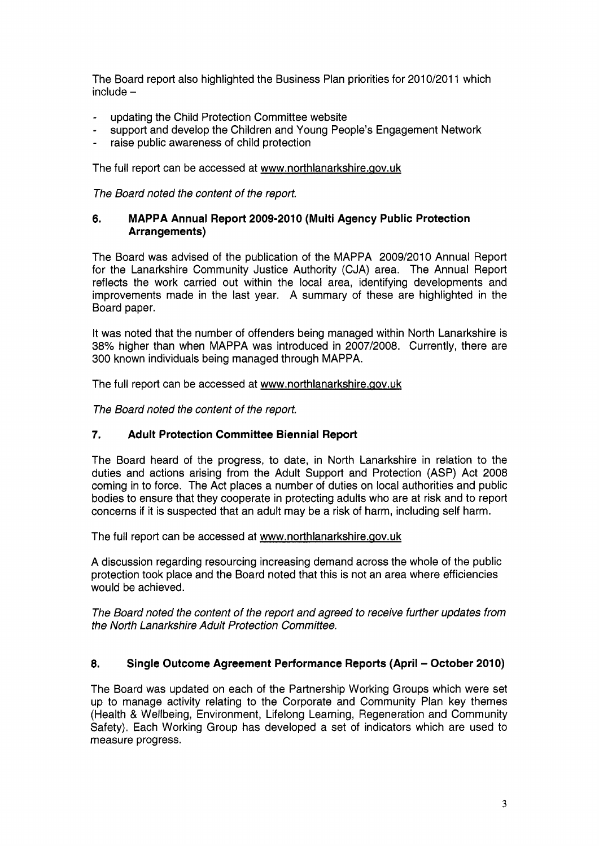The Board report also highlighted the Business Plan priorities for 2010/2011 which  $include -$ 

- updating the Child Protection Committee website
- support and develop the Children and Young People's Engagement Network
- raise public awareness of child protection

The full report can be accessed at www.northlanarkshire.gov.uk

*The Board noted the content of the report.* 

## **6. MAPPA Annual Report 2009-2010 (Multi Agency Public Protection Arrangements)**

The Board was advised of the publication of the MAPPA 2009/2010 Annual Report for the Lanarkshire Community Justice Authority (CJA) area. The Annual Report reflects the work carried out within the local area, identifying developments and improvements made in the last year. **A** summary of these are highlighted in the Board paper.

It was noted that the number of offenders being managed within North Lanarkshire is 38% higher than when MAPPA was introduced in 2007/2008. Currently, there are 300 known individuals being managed through MAPPA.

The full report can be accessed at [www.northlanarkshire.aov.uk](http://www.northlanarkshire.aov.uk)

*The Board noted the content of the report.* 

# *7.* **Adult Protection Committee Biennial Report**

The Board heard of the progress, to date, in North Lanarkshire in relation to the duties and actions arising from the Adult Support and Protection (ASP) Act 2008 coming in to force. The Act places a number of duties on local authorities and public bodies to ensure that they cooperate in protecting adults who are at risk and to report concerns if it is suspected that an adult may be a risk of harm, including self harm.

The full report can be accessed at www.northlanarkshire.gov.uk

A discussion regarding resourcing increasing demand across the whole of the public protection took place and the Board noted that this is not an area where efficiencies would be achieved.

*The Board noted the content of the report and agreed to receive further updates from the North Lanarkshire Adult Protection Committee.* 

# **8. Single Outcome Agreement Performance Reports (April** - **October 2010)**

The Board was updated on each of the Partnership Working Groups which were set up to manage activity relating to the Corporate and Community Plan key themes (Health & Wellbeing, Environment, Lifelong Learning, Regeneration and Community Safety). Each Working Group has developed a set of indicators which are used to measure progress.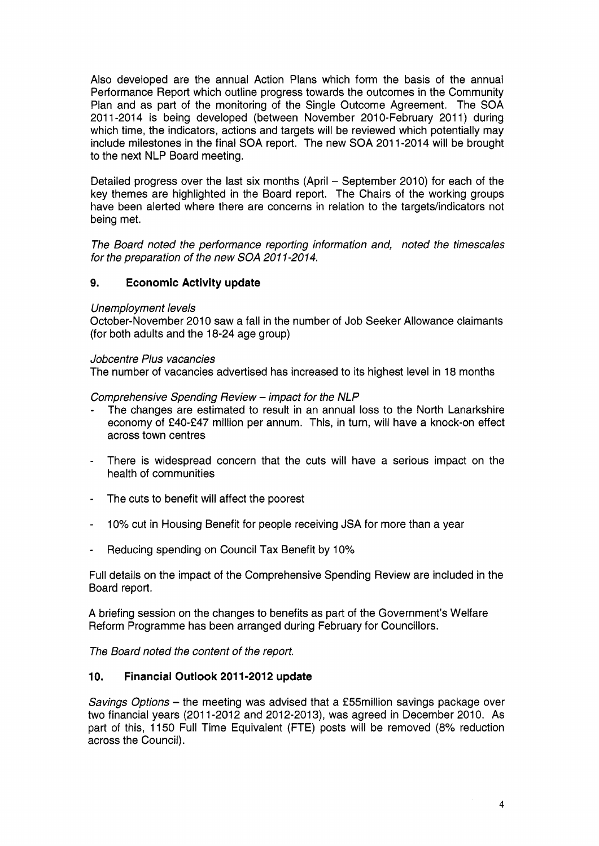Also developed are the annual Action Plans which form the basis of the annual Performance Report which outline progress towards the outcomes in the Community Plan and as part of the monitoring of the Single Outcome Agreement. The SOA 2011-2014 is being developed (between November 2010-February 2011) during which time, the indicators, actions and targets will be reviewed which potentially may include milestones in the final **SOA** report. The new SOA 201 1-2014 will be brought to the next NLP Board meeting.

Detailed progress over the last six months (April - September 2010) for each of the key themes are highlighted in the Board report. The Chairs of the working groups have been alerted where there are concerns in relation to the targets/indicators not being met.

*The Board noted the performance reporting information and, noted the timescales for the preparation of the new SOA 201 1-2014.* 

## **9. Economic Activity update**

#### *Unemployment levels*

October-November 2010 saw a fall in the number of Job Seeker Allowance claimants (for both adults and the 18-24 age group)

#### *Jobcentre Plus vacancies*

The number of vacancies advertised has increased to its highest level in 18 months

#### *Comprehensive Spending Review* - *impact for the NLP*

- The changes are estimated to result in an annual loss to the North Lanarkshire economy of €40-€47 million per annum. This, in turn, will have a knock-on effect across town centres
- There is widespread concern that the cuts will have a serious impact on the health of communities
- The cuts to benefit will affect the poorest
- 10% cut in Housing Benefit for people receiving JSA for more than a year
- Reducing spending on Council Tax Benefit by 10%

Full details on the impact of the Comprehensive Spending Review are included in the Board report.

A briefing session on the changes to benefits as part of the Government's Welfare Reform Programme has been arranged during February for Councillors.

*The Board noted the content of the report.* 

## **10. Financial Outlook 201 1-2012 update**

*Savings Options* - the meeting was advised that a f55million savings package over two financial years (2011-2012 and 2012-2013), was agreed in December 2010. As part of this, 1150 Full Time Equivalent (FTE) posts will be removed (8% reduction across the Council).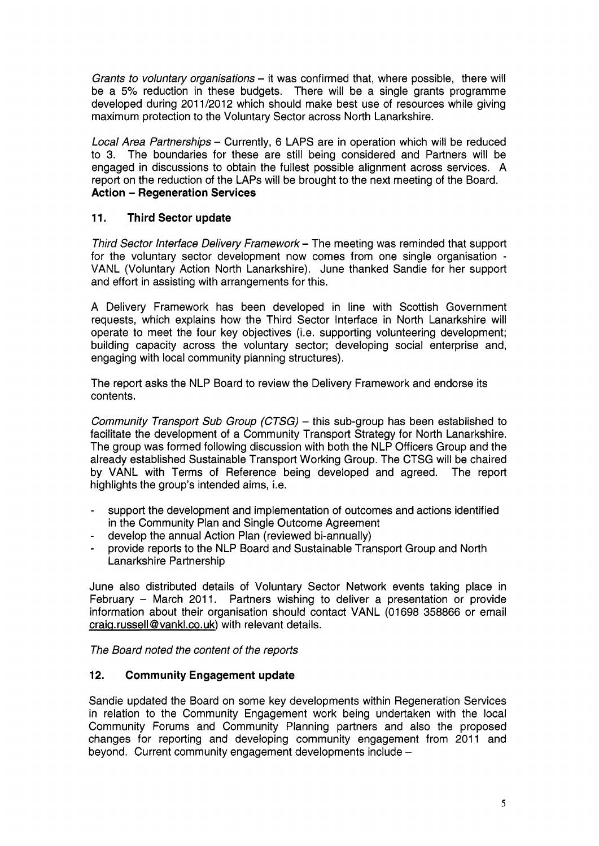*Grants to voluntary organisations* – it was confirmed that, where possible, there will be a *5%* reduction in these budgets. There will be a single grants programme developed during 2011/2012 which should make best use of resources while giving maximum protection to the Voluntary Sector across North Lanarkshire.

*Local Area Partnerships* - Currently, 6 LAPS are in operation which will be reduced to 3. The boundaries for these are still being considered and Partners will be engaged in discussions to obtain the fullest possible alignment across services. A report on the reduction of the LAPS will be brought to the next meeting of the Board. **Action** - **Regeneration Services** 

# **11. Third Sector update**

*Third Sector Interface Delivery Framework* - The meeting was reminded that support for the voluntary sector development now comes from one single organisation - VANL (Voluntary Action North Lanarkshire). June thanked Sandie for her support and effort in assisting with arrangements for this.

A Delivery Framework has been developed in line with Scottish Government requests, which explains how the Third Sector Interface in North Lanarkshire will operate to meet the four key objectives (i.e. supporting volunteering development; building capacity across the voluntary sector; developing social enterprise and, engaging with local community planning structures).

The report asks the NLP Board to review the Delivery Framework and endorse its contents.

*Community Transport Sub Group (CTSG)* – this sub-group has been established to facilitate the development of a Community Transport Strategy for North Lanarkshire. The group was formed following discussion with both the NLP Officers Group and the already established Sustainable Transport Working Group. The CTSG will be chaired by VANL with Terms of Reference being developed and agreed. The report highlights the group's intended aims, i.e.

- support the development and implementation of outcomes and actions identified in the Community Plan and Single Outcome Agreement
- develop the annual Action Plan (reviewed bi-annually)
- provide reports to the NLP Board and Sustainable Transport Group and North Lanarkshire Partnership

June also distributed details of Voluntary Sector Network events taking place in February - March 2011. Partners wishing to deliver a presentation or provide information about their organisation should contact VANL (01698 358866 or email  $craiq.russell @vankl.co.uk)$  with relevant details.

*The Board noted the content of the reports* 

# **12. Community Engagement update**

Sandie updated the Board on some key developments within Regeneration Services in relation to the Community Engagement work being undertaken with the local Community Forums and Community Planning partners and also the proposed changes for reporting and developing community engagement from 2011 and beyond. Current community engagement developments include -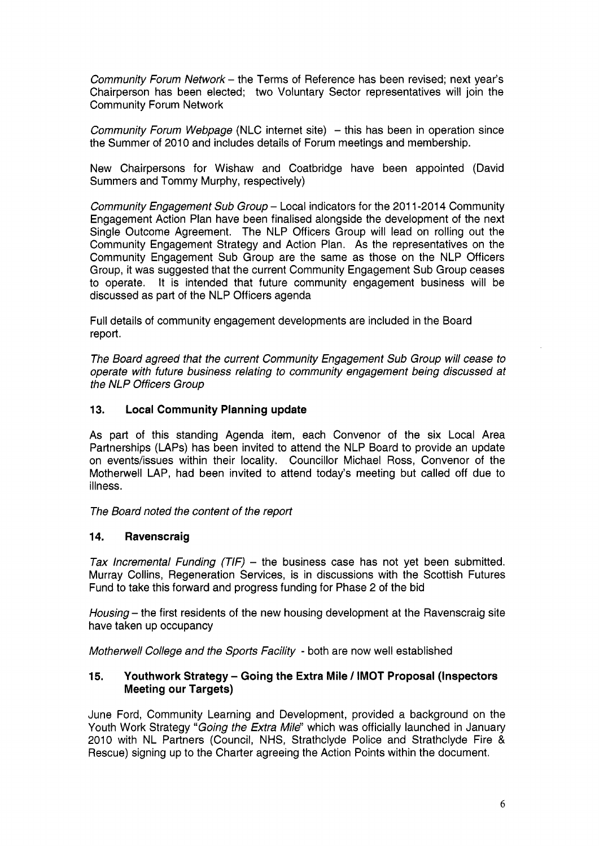*Community Forum Network* - the Terms of Reference has been revised; next year's Chairperson has been elected; two Voluntary Sector representatives will join the Community Forum Network

*Community Forum Webpage* (NLC internet site) - this has been in operation since the Summer of 2010 and includes details of Forum meetings and membership.

New Chairpersons for Wishaw and Coatbridge have been appointed (David Summers and Tommy Murphy, respectively)

*Community Engagement Sub Group – Local indicators for the 2011-2014 Community* Engagement Action Plan have been finalised alongside the development of the next Single Outcome Agreement. The NLP Officers Group will lead on rolling out the Community Engagement Strategy and Action Plan. As the representatives on the Community Engagement Sub Group are the same as those on the NLP Officers Group, it was suggested that the current Community Engagement Sub Group ceases to operate. It is intended that future community engagement business will be discussed as part of the NLP Officers agenda

Full details of community engagement developments are included in the Board report.

*The Board agreed that the current Community Engagement Sub Group will cease to operate with future business relating to community engagement being discussed at*  **the NLP Officers Group** 

### **13. Local Community Planning update**

As part of this standing Agenda item, each Convenor *of* the six Local Area Partnerships (LAPS) has been invited to attend the NLP Board to provide an update on events/issues within their locality. Councillor Michael Ross, Convenor of the Motherwell LAP, had been invited to attend today's meeting but called off due to illness .

*The Board noted the content of the report* 

## **14. Ravenscraig**

*Tax Incremental Funding (TIF)* – the business case has not yet been submitted. Murray Collins, Regeneration Services, is in discussions with the Scottish Futures Fund to take this forward and progress funding for Phase 2 *of* the bid

*Housing* - the first residents of the new housing development at the Ravenscraig site have taken up occupancy

*Motherwell College and the Sports Facility* - both are now well established

### **15. Youthwork Strategy** - **Going the Extra Mile** / **IMOT Proposal (Inspectors Meeting our Targets)**

June Ford, Community Learning and Development, provided a background on the Youth Work Strategy *"Going the Extra Mile"* which was officially launched in January 2010 with NL Partners (Council, NHS, Strathclyde Police and Strathclyde Fire & Rescue) signing up to the Charter agreeing the Action Points within the document.